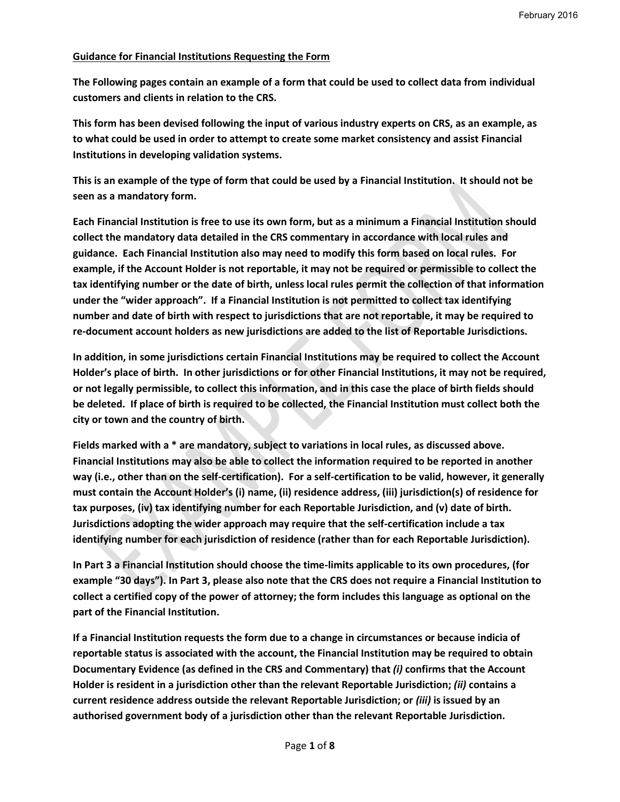### **Guidance for Financial Institutions Requesting the Form**

**The Following pages contain an example of a form that could be used to collect data from individual customers and clients in relation to the CRS.** 

**This form has been devised following the input of various industry experts on CRS, as an example, as to what could be used in order to attempt to create some market consistency and assist Financial Institutions in developing validation systems.** 

**This is an example of the type of form that could be used by a Financial Institution. It should not be seen as a mandatory form.** 

**Each Financial Institution is free to use its own form, but as a minimum a Financial Institution should collect the mandatory data detailed in the CRS commentary in accordance with local rules and guidance. Each Financial Institution also may need to modify this form based on local rules. For example, if the Account Holder is not reportable, it may not be required or permissible to collect the tax identifying number or the date of birth, unless local rules permit the collection of that information under the "wider approach". If a Financial Institution is not permitted to collect tax identifying number and date of birth with respect to jurisdictions that are not reportable, it may be required to re-document account holders as new jurisdictions are added to the list of Reportable Jurisdictions.**

**In addition, in some jurisdictions certain Financial Institutions may be required to collect the Account Holder's place of birth. In other jurisdictions or for other Financial Institutions, it may not be required, or not legally permissible, to collect this information, and in this case the place of birth fields should be deleted. If place of birth is required to be collected, the Financial Institution must collect both the city or town and the country of birth.**

**Fields marked with a \* are mandatory, subject to variations in local rules, as discussed above. Financial Institutions may also be able to collect the information required to be reported in another way (i.e., other than on the self-certification). For a self-certification to be valid, however, it generally must contain the Account Holder's (i) name, (ii) residence address, (iii) jurisdiction(s) of residence for tax purposes, (iv) tax identifying number for each Reportable Jurisdiction, and (v) date of birth. Jurisdictions adopting the wider approach may require that the self-certification include a tax identifying number for each jurisdiction of residence (rather than for each Reportable Jurisdiction).**

**In Part 3 a Financial Institution should choose the time-limits applicable to its own procedures, (for example "30 days"). In Part 3, please also note that the CRS does not require a Financial Institution to collect a certified copy of the power of attorney; the form includes this language as optional on the part of the Financial Institution.** 

**If a Financial Institution requests the form due to a change in circumstances or because indicia of reportable status is associated with the account, the Financial Institution may be required to obtain Documentary Evidence (as defined in the CRS and Commentary) that** *(i)* **confirms that the Account Holder is resident in a jurisdiction other than the relevant Reportable Jurisdiction;** *(ii)* **contains a current residence address outside the relevant Reportable Jurisdiction; or** *(iii)* **is issued by an authorised government body of a jurisdiction other than the relevant Reportable Jurisdiction.**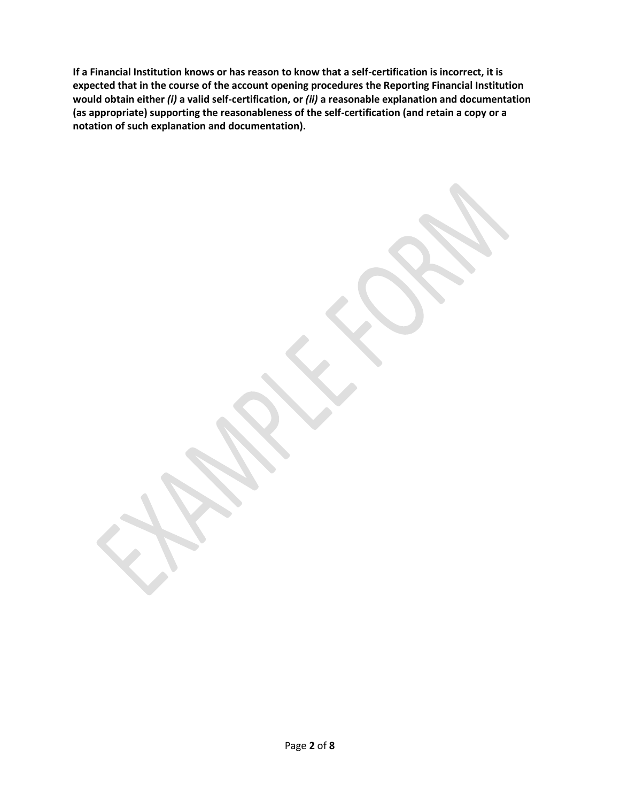**If a Financial Institution knows or has reason to know that a self-certification is incorrect, it is expected that in the course of the account opening procedures the Reporting Financial Institution would obtain either** *(i)* **a valid self-certification, or** *(ii)* **a reasonable explanation and documentation (as appropriate) supporting the reasonableness of the self-certification (and retain a copy or a notation of such explanation and documentation).**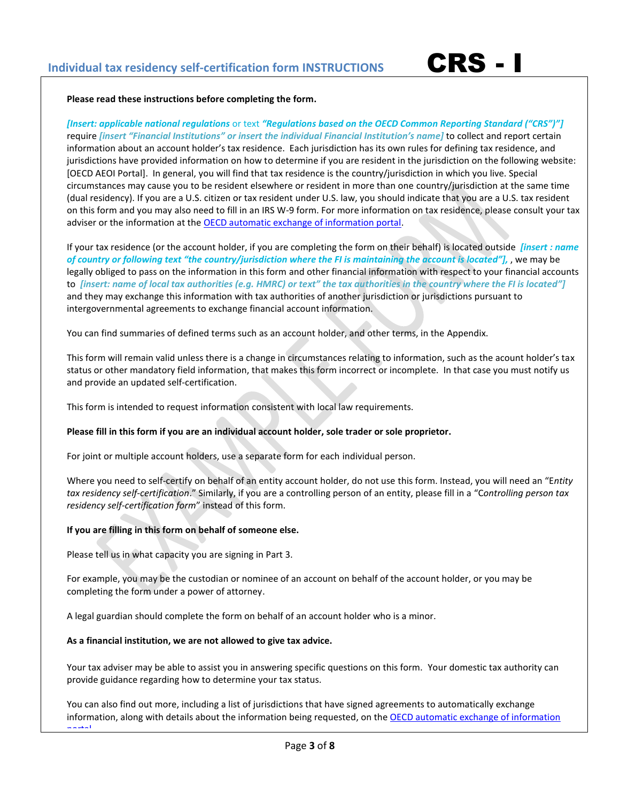

#### **Please read these instructions before completing the form.**

*[Insert: applicable national regulations* or text *"Regulations based on the OECD Common Reporting Standard ("CRS")"]* require *[insert "Financial Institutions" or insert the individual Financial Institution's name]* to collect and report certain information about an account holder's tax residence. Each jurisdiction has its own rules for defining tax residence, and jurisdictions have provided information on how to determine if you are resident in the jurisdiction on the following website: [OECD AEOI Portal]. In general, you will find that tax residence is the country/jurisdiction in which you live. Special circumstances may cause you to be resident elsewhere or resident in more than one country/jurisdiction at the same time (dual residency). If you are a U.S. citizen or tax resident under U.S. law, you should indicate that you are a U.S. tax resident on this form and you may also need to fill in an IRS W-9 form. For more information on tax residence, please consult your tax adviser or the information at the [OECD automatic exchange of information portal.](http://www.oecd.org/tax/transparency/automaticexchangeofinformation.htm)

If your tax residence (or the account holder, if you are completing the form on their behalf) is located outside *[insert : name of country or following text "the country/jurisdiction where the FI is maintaining the account is located"],* , we may be legally obliged to pass on the information in this form and other financial information with respect to your financial accounts to *[insert: name of local tax authorities (e.g. HMRC) or text" the tax authorities in the country where the FI is located"]*  and they may exchange this information with tax authorities of another jurisdiction or jurisdictions pursuant to intergovernmental agreements to exchange financial account information.

You can find summaries of defined terms such as an account holder, and other terms, in the Appendix.

This form will remain valid unless there is a change in circumstances relating to information, such as the acount holder's tax status or other mandatory field information, that makes this form incorrect or incomplete. In that case you must notify us and provide an updated self-certification.

This form is intended to request information consistent with local law requirements.

### **Please fill in this form if you are an individual account holder, sole trader or sole proprietor.**

For joint or multiple account holders, use a separate form for each individual person.

Where you need to self-certify on behalf of an entity account holder, do not use this form. Instead, you will need an "E*ntity tax residency self-certification*." Similarly, if you are a controlling person of an entity, please fill in a "C*ontrolling person tax residency self-certification form*" instead of this form.

### **If you are filling in this form on behalf of someone else.**

Please tell us in what capacity you are signing in Part 3.

For example, you may be the custodian or nominee of an account on behalf of the account holder, or you may be completing the form under a power of attorney.

A legal guardian should complete the form on behalf of an account holder who is a minor.

#### **As a financial institution, we are not allowed to give tax advice.**

Your tax adviser may be able to assist you in answering specific questions on this form. Your domestic tax authority can provide guidance regarding how to determine your tax status.

You can also find out more, including a list of jurisdictions that have signed agreements to automatically exchange information, along with details about the information being requested, on the OECD automatic exchange of information [portal](http://www.oecd.org/tax/transparency/automaticexchangeofinformation.htm).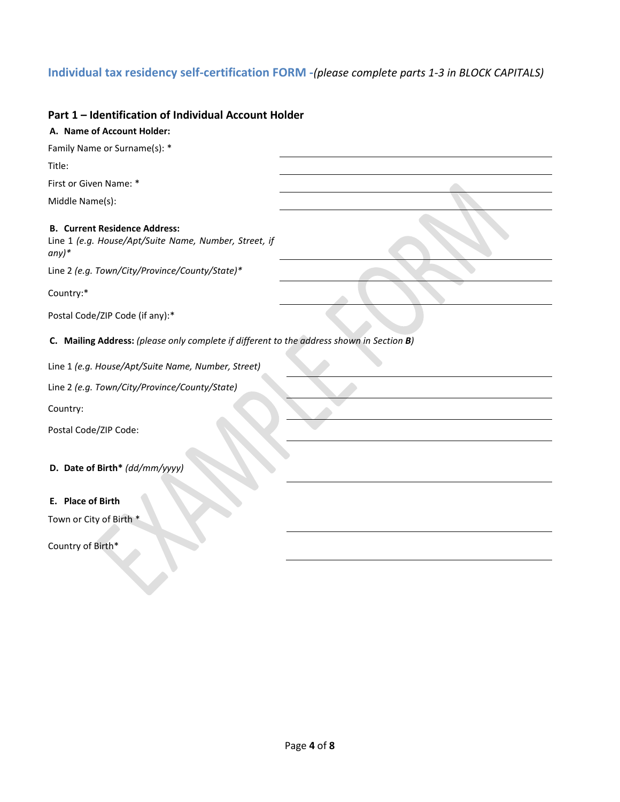# **Individual tax residency self-certification FORM -***(please complete parts 1-3 in BLOCK CAPITALS)*

### **Part 1 – Identification of Individual Account Holder**

| A. Name of Account Holder:                                                                               |  |
|----------------------------------------------------------------------------------------------------------|--|
| Family Name or Surname(s): *                                                                             |  |
| Title:                                                                                                   |  |
| First or Given Name: *                                                                                   |  |
| Middle Name(s):                                                                                          |  |
| <b>B. Current Residence Address:</b><br>Line 1 (e.g. House/Apt/Suite Name, Number, Street, if<br>$any)*$ |  |
| Line 2 (e.g. Town/City/Province/County/State)*                                                           |  |
| Country:*                                                                                                |  |
| Postal Code/ZIP Code (if any):*                                                                          |  |
| C. Mailing Address: (please only complete if different to the address shown in Section B)                |  |
| Line 1 (e.g. House/Apt/Suite Name, Number, Street)                                                       |  |
| Line 2 (e.g. Town/City/Province/County/State)                                                            |  |
| Country:                                                                                                 |  |
| Postal Code/ZIP Code:                                                                                    |  |
| D. Date of Birth* (dd/mm/yyyy)                                                                           |  |
| E. Place of Birth                                                                                        |  |
| Town or City of Birth *                                                                                  |  |
| Country of Birth*                                                                                        |  |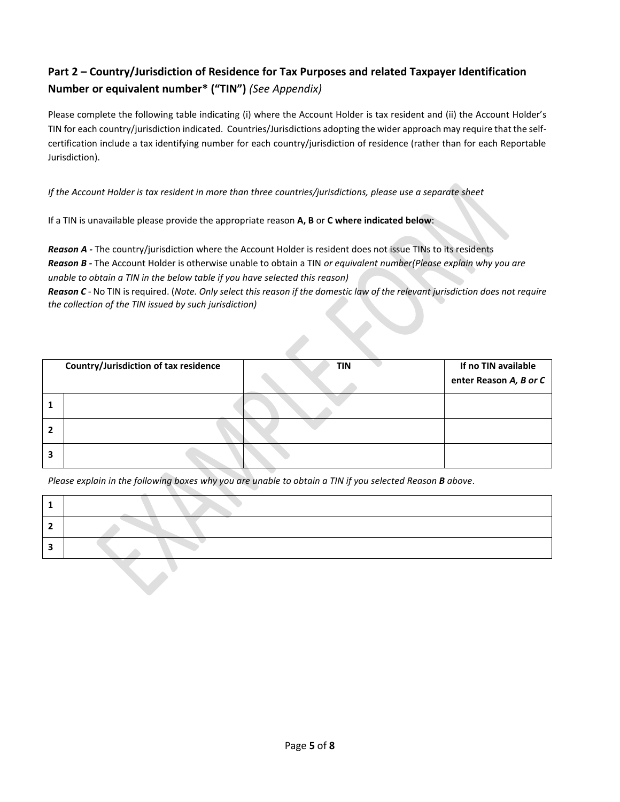# **Part 2 – Country/Jurisdiction of Residence for Tax Purposes and related Taxpayer Identification Number or equivalent number\* ("TIN")** *(See Appendix)*

Please complete the following table indicating (i) where the Account Holder is tax resident and (ii) the Account Holder's TIN for each country/jurisdiction indicated. Countries/Jurisdictions adopting the wider approach may require that the selfcertification include a tax identifying number for each country/jurisdiction of residence (rather than for each Reportable Jurisdiction).

*If the Account Holder is tax resident in more than three countries/jurisdictions, please use a separate sheet*

If a TIN is unavailable please provide the appropriate reason **A, B** or **C where indicated below**:

*Reason A -* The country/jurisdiction where the Account Holder is resident does not issue TINs to its residents *Reason B -* The Account Holder is otherwise unable to obtain a TIN *or equivalent number(Please explain why you are unable to obtain a TIN in the below table if you have selected this reason)*

*Reason C -* No TIN is required. (*Note. Only select this reason if the domestic law of the relevant jurisdiction does not require the collection of the TIN issued by such jurisdiction)*

|   | Country/Jurisdiction of tax residence | <b>TIN</b> | If no TIN available<br>enter Reason A, B or C |
|---|---------------------------------------|------------|-----------------------------------------------|
|   |                                       |            |                                               |
| 2 |                                       |            |                                               |
| 3 |                                       |            |                                               |

*Please explain in the following boxes why you are unable to obtain a TIN if you selected Reason B above*.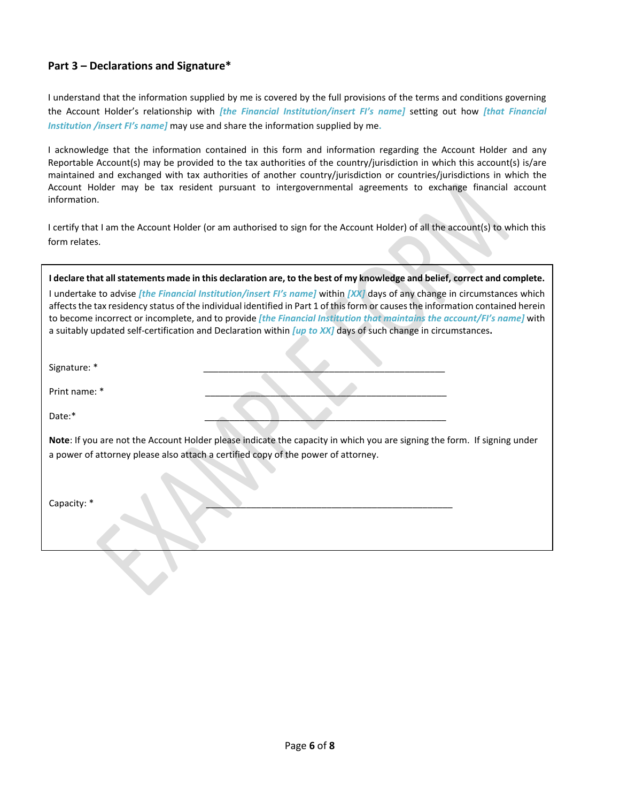## **Part 3 – Declarations and Signature\***

I understand that the information supplied by me is covered by the full provisions of the terms and conditions governing the Account Holder's relationship with *[the Financial Institution/insert FI's name]* setting out how *[that Financial Institution /insert FI's name]* may use and share the information supplied by me**.**

I acknowledge that the information contained in this form and information regarding the Account Holder and any Reportable Account(s) may be provided to the tax authorities of the country/jurisdiction in which this account(s) is/are maintained and exchanged with tax authorities of another country/jurisdiction or countries/jurisdictions in which the Account Holder may be tax resident pursuant to intergovernmental agreements to exchange financial account information.

I certify that I am the Account Holder (or am authorised to sign for the Account Holder) of all the account(s) to which this form relates.

| I declare that all statements made in this declaration are, to the best of my knowledge and belief, correct and complete. |  |  |
|---------------------------------------------------------------------------------------------------------------------------|--|--|

I undertake to advise *[the Financial Institution/insert FI's name]* within *[XX]* days of any change in circumstances which affects the tax residency status of the individual identified in Part 1 of this form or causes the information contained herein to become incorrect or incomplete, and to provide *[the Financial Institution that maintains the account/FI's name]* with a suitably updated self-certification and Declaration within *[up to XX]* days of such change in circumstances**.**

Signature: \*

Print name: \*

Date:\* \_\_\_\_\_\_\_\_\_\_\_\_\_\_\_\_\_\_\_\_\_\_\_\_\_\_\_\_\_\_\_\_\_\_\_\_\_\_\_\_\_\_\_\_\_\_\_\_

**Note**: If you are not the Account Holder please indicate the capacity in which you are signing the form. If signing under a power of attorney please also attach a certified copy of the power of attorney.

Capacity: \* \_\_\_\_\_\_\_\_\_\_\_\_\_\_\_\_\_\_\_\_\_\_\_\_\_\_\_\_\_\_\_\_\_\_\_\_\_\_\_\_\_\_\_\_\_\_\_\_\_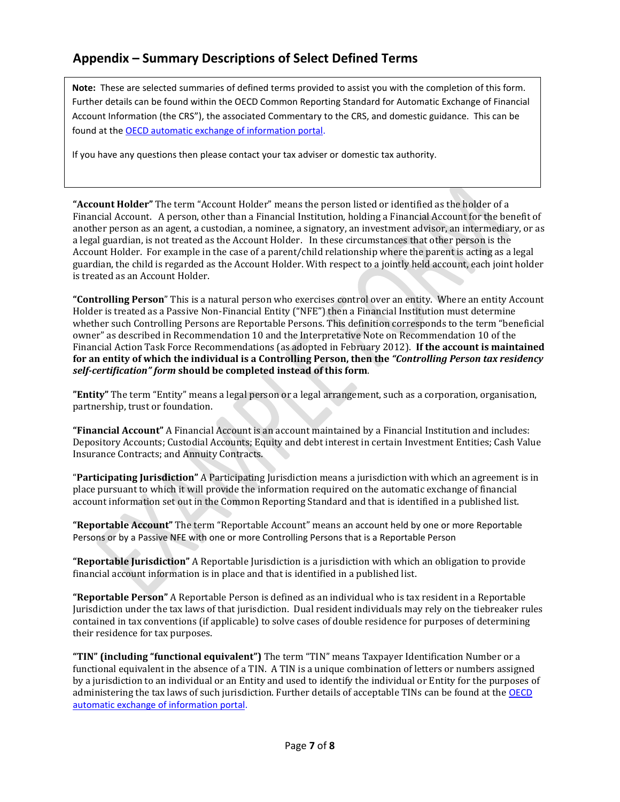# **Appendix – Summary Descriptions of Select Defined Terms**

**Note:** These are selected summaries of defined terms provided to assist you with the completion of this form. Further details can be found within the OECD Common Reporting Standard for Automatic Exchange of Financial Account Information (the CRS"), the associated Commentary to the CRS, and domestic guidance. This can be found at the [OECD automatic exchange of information portal.](http://www.oecd.org/tax/transparency/automaticexchangeofinformation.htm)

If you have any questions then please contact your tax adviser or domestic tax authority.

**"Account Holder"** The term "Account Holder" means the person listed or identified as the holder of a Financial Account. A person, other than a Financial Institution, holding a Financial Account for the benefit of another person as an agent, a custodian, a nominee, a signatory, an investment advisor, an intermediary, or as a legal guardian, is not treated as the Account Holder. In these circumstances that other person is the Account Holder. For example in the case of a parent/child relationship where the parent is acting as a legal guardian, the child is regarded as the Account Holder. With respect to a jointly held account, each joint holder is treated as an Account Holder.

**"Controlling Person**" This is a natural person who exercises control over an entity. Where an entity Account Holder is treated as a Passive Non-Financial Entity ("NFE") then a Financial Institution must determine whether such Controlling Persons are Reportable Persons. This definition corresponds to the term "beneficial owner" as described in Recommendation 10 and the Interpretative Note on Recommendation 10 of the Financial Action Task Force Recommendations (as adopted in February 2012). **If the account is maintained for an entity of which the individual is a Controlling Person, then the** *"Controlling Person tax residency self-certification" form* **should be completed instead of this form**.

**"Entity"** The term "Entity" means a legal person or a legal arrangement, such as a corporation, organisation, partnership, trust or foundation.

**"Financial Account"** A Financial Account is an account maintained by a Financial Institution and includes: Depository Accounts; Custodial Accounts; Equity and debt interest in certain Investment Entities; Cash Value Insurance Contracts; and Annuity Contracts.

"**Participating Jurisdiction"** A Participating Jurisdiction means a jurisdiction with which an agreement is in place pursuant to which it will provide the information required on the automatic exchange of financial account information set out in the Common Reporting Standard and that is identified in a published list.

**"Reportable Account"** The term "Reportable Account" means an account held by one or more Reportable Persons or by a Passive NFE with one or more Controlling Persons that is a Reportable Person

**"Reportable Jurisdiction"** A Reportable Jurisdiction is a jurisdiction with which an obligation to provide financial account information is in place and that is identified in a published list.

**"Reportable Person"** A Reportable Person is defined as an individual who is tax resident in a Reportable Jurisdiction under the tax laws of that jurisdiction. Dual resident individuals may rely on the tiebreaker rules contained in tax conventions (if applicable) to solve cases of double residence for purposes of determining their residence for tax purposes.

**"TIN" (including "functional equivalent")** The term "TIN" means Taxpayer Identification Number or a functional equivalent in the absence of a TIN. A TIN is a unique combination of letters or numbers assigned by a jurisdiction to an individual or an Entity and used to identify the individual or Entity for the purposes of administering the tax laws of such jurisdiction. Further details of acceptable TINs can be found at the [OECD](http://www.oecd.org/tax/transparency/automaticexchangeofinformation.htm)  [automatic exchange of information portal.](http://www.oecd.org/tax/transparency/automaticexchangeofinformation.htm)